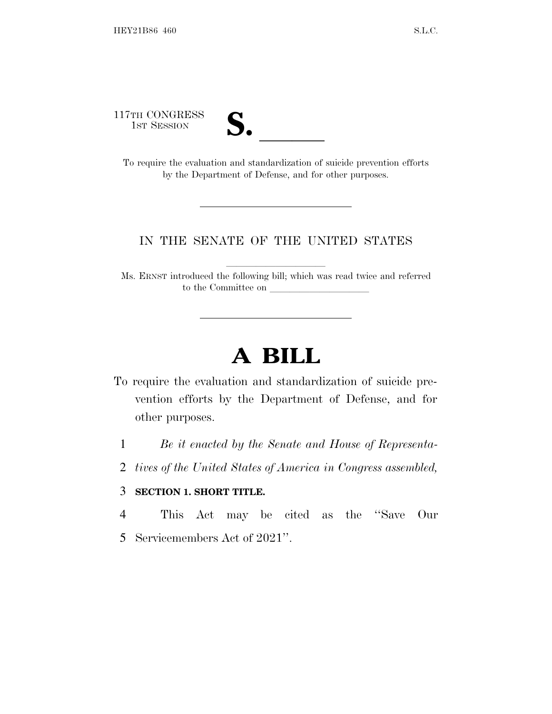117TH CONGRESS



TH CONGRESS<br>
1ST SESSION<br>
To require the evaluation and standardization of suicide prevention efforts by the Department of Defense, and for other purposes.

## IN THE SENATE OF THE UNITED STATES

Ms. ERNST introduced the following bill; which was read twice and referred to the Committee on

## **A BILL**

- To require the evaluation and standardization of suicide prevention efforts by the Department of Defense, and for other purposes.
	- 1 *Be it enacted by the Senate and House of Representa-*
	- 2 *tives of the United States of America in Congress assembled,*

## 3 **SECTION 1. SHORT TITLE.**

- 4 This Act may be cited as the ''Save Our
- 5 Servicemembers Act of 2021''.